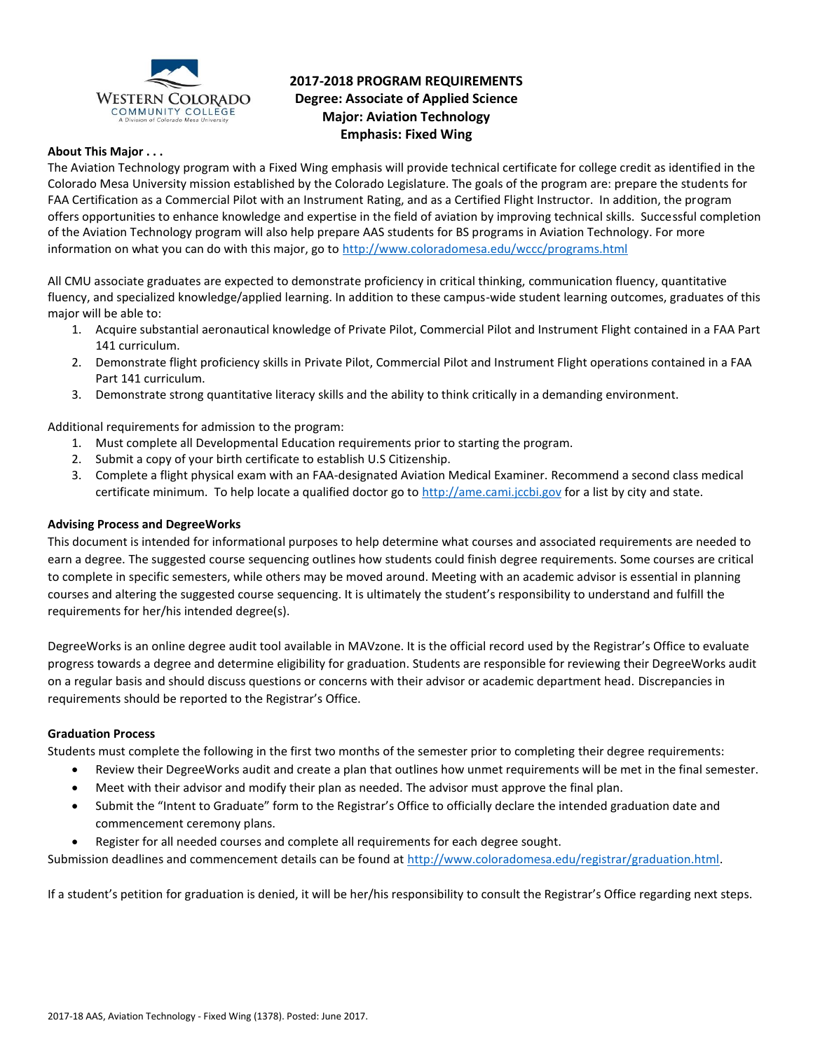

# **2017-2018 PROGRAM REQUIREMENTS Degree: Associate of Applied Science Major: Aviation Technology Emphasis: Fixed Wing**

# **About This Major . . .**

The Aviation Technology program with a Fixed Wing emphasis will provide technical certificate for college credit as identified in the Colorado Mesa University mission established by the Colorado Legislature. The goals of the program are: prepare the students for FAA Certification as a Commercial Pilot with an Instrument Rating, and as a Certified Flight Instructor. In addition, the program offers opportunities to enhance knowledge and expertise in the field of aviation by improving technical skills. Successful completion of the Aviation Technology program will also help prepare AAS students for BS programs in Aviation Technology. For more information on what you can do with this major, go to<http://www.coloradomesa.edu/wccc/programs.html>

All CMU associate graduates are expected to demonstrate proficiency in critical thinking, communication fluency, quantitative fluency, and specialized knowledge/applied learning. In addition to these campus-wide student learning outcomes, graduates of this major will be able to:

- 1. Acquire substantial aeronautical knowledge of Private Pilot, Commercial Pilot and Instrument Flight contained in a FAA Part 141 curriculum.
- 2. Demonstrate flight proficiency skills in Private Pilot, Commercial Pilot and Instrument Flight operations contained in a FAA Part 141 curriculum.
- 3. Demonstrate strong quantitative literacy skills and the ability to think critically in a demanding environment.

Additional requirements for admission to the program:

- 1. Must complete all Developmental Education requirements prior to starting the program.
- 2. Submit a copy of your birth certificate to establish U.S Citizenship.
- 3. Complete a flight physical exam with an FAA-designated Aviation Medical Examiner. Recommend a second class medical certificate minimum. To help locate a qualified doctor go to [http://ame.cami.jccbi.gov](http://ame.cami.jccbi.gov/) for a list by city and state.

# **Advising Process and DegreeWorks**

This document is intended for informational purposes to help determine what courses and associated requirements are needed to earn a degree. The suggested course sequencing outlines how students could finish degree requirements. Some courses are critical to complete in specific semesters, while others may be moved around. Meeting with an academic advisor is essential in planning courses and altering the suggested course sequencing. It is ultimately the student's responsibility to understand and fulfill the requirements for her/his intended degree(s).

DegreeWorks is an online degree audit tool available in MAVzone. It is the official record used by the Registrar's Office to evaluate progress towards a degree and determine eligibility for graduation. Students are responsible for reviewing their DegreeWorks audit on a regular basis and should discuss questions or concerns with their advisor or academic department head. Discrepancies in requirements should be reported to the Registrar's Office.

#### **Graduation Process**

Students must complete the following in the first two months of the semester prior to completing their degree requirements:

- Review their DegreeWorks audit and create a plan that outlines how unmet requirements will be met in the final semester.
- Meet with their advisor and modify their plan as needed. The advisor must approve the final plan.
- Submit the "Intent to Graduate" form to the Registrar's Office to officially declare the intended graduation date and commencement ceremony plans.
- Register for all needed courses and complete all requirements for each degree sought.

Submission deadlines and commencement details can be found at [http://www.coloradomesa.edu/registrar/graduation.html.](http://www.coloradomesa.edu/registrar/graduation.html)

If a student's petition for graduation is denied, it will be her/his responsibility to consult the Registrar's Office regarding next steps.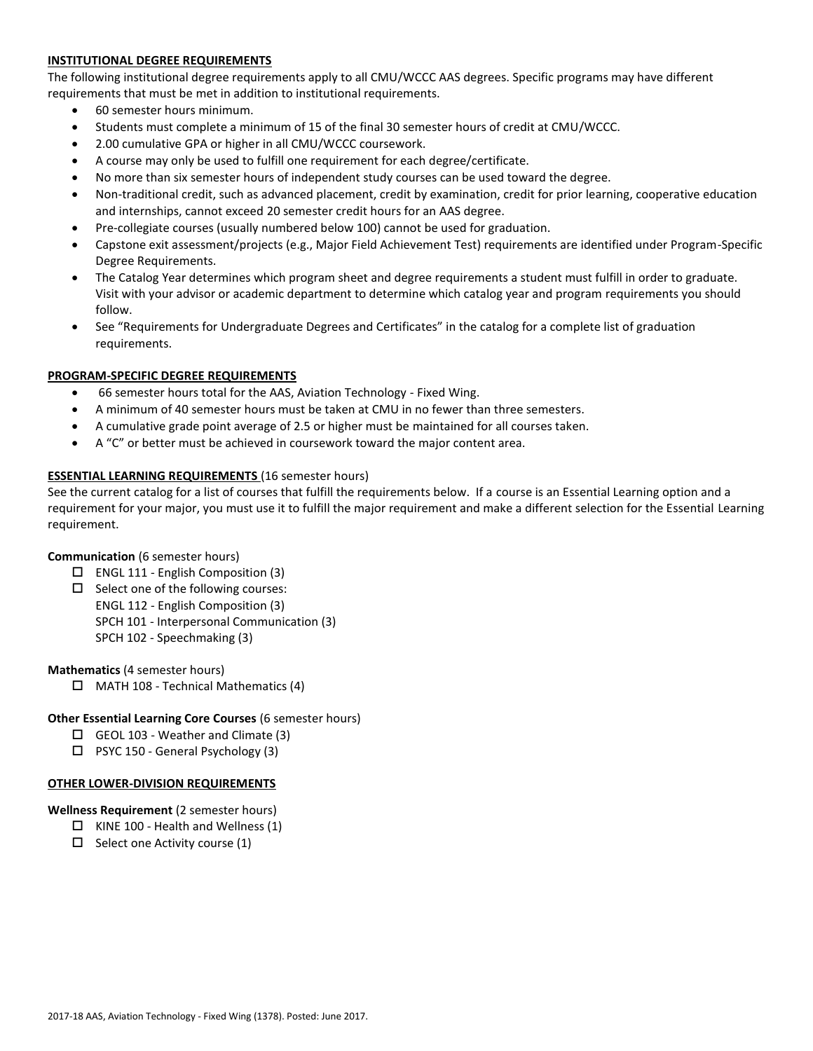# **INSTITUTIONAL DEGREE REQUIREMENTS**

The following institutional degree requirements apply to all CMU/WCCC AAS degrees. Specific programs may have different requirements that must be met in addition to institutional requirements.

- 60 semester hours minimum.
- Students must complete a minimum of 15 of the final 30 semester hours of credit at CMU/WCCC.
- 2.00 cumulative GPA or higher in all CMU/WCCC coursework.
- A course may only be used to fulfill one requirement for each degree/certificate.
- No more than six semester hours of independent study courses can be used toward the degree.
- Non-traditional credit, such as advanced placement, credit by examination, credit for prior learning, cooperative education and internships, cannot exceed 20 semester credit hours for an AAS degree.
- Pre-collegiate courses (usually numbered below 100) cannot be used for graduation.
- Capstone exit assessment/projects (e.g., Major Field Achievement Test) requirements are identified under Program-Specific Degree Requirements.
- The Catalog Year determines which program sheet and degree requirements a student must fulfill in order to graduate. Visit with your advisor or academic department to determine which catalog year and program requirements you should follow.
- See "Requirements for Undergraduate Degrees and Certificates" in the catalog for a complete list of graduation requirements.

# **PROGRAM-SPECIFIC DEGREE REQUIREMENTS**

- 66 semester hours total for the AAS, Aviation Technology Fixed Wing.
- A minimum of 40 semester hours must be taken at CMU in no fewer than three semesters.
- A cumulative grade point average of 2.5 or higher must be maintained for all courses taken.
- A "C" or better must be achieved in coursework toward the major content area.

# **ESSENTIAL LEARNING REQUIREMENTS** (16 semester hours)

See the current catalog for a list of courses that fulfill the requirements below. If a course is an Essential Learning option and a requirement for your major, you must use it to fulfill the major requirement and make a different selection for the Essential Learning requirement.

#### **Communication** (6 semester hours)

- $\Box$  ENGL 111 English Composition (3)
- $\Box$  Select one of the following courses:
	- ENGL 112 English Composition (3)
	- SPCH 101 Interpersonal Communication (3)
	- SPCH 102 Speechmaking (3)

#### **Mathematics** (4 semester hours)

 $\Box$  MATH 108 - Technical Mathematics (4)

#### **Other Essential Learning Core Courses** (6 semester hours)

- $\Box$  GEOL 103 Weather and Climate (3)
- □ PSYC 150 General Psychology (3)

#### **OTHER LOWER-DIVISION REQUIREMENTS**

# **Wellness Requirement** (2 semester hours)

- $\Box$  KINE 100 Health and Wellness (1)
- $\Box$  Select one Activity course (1)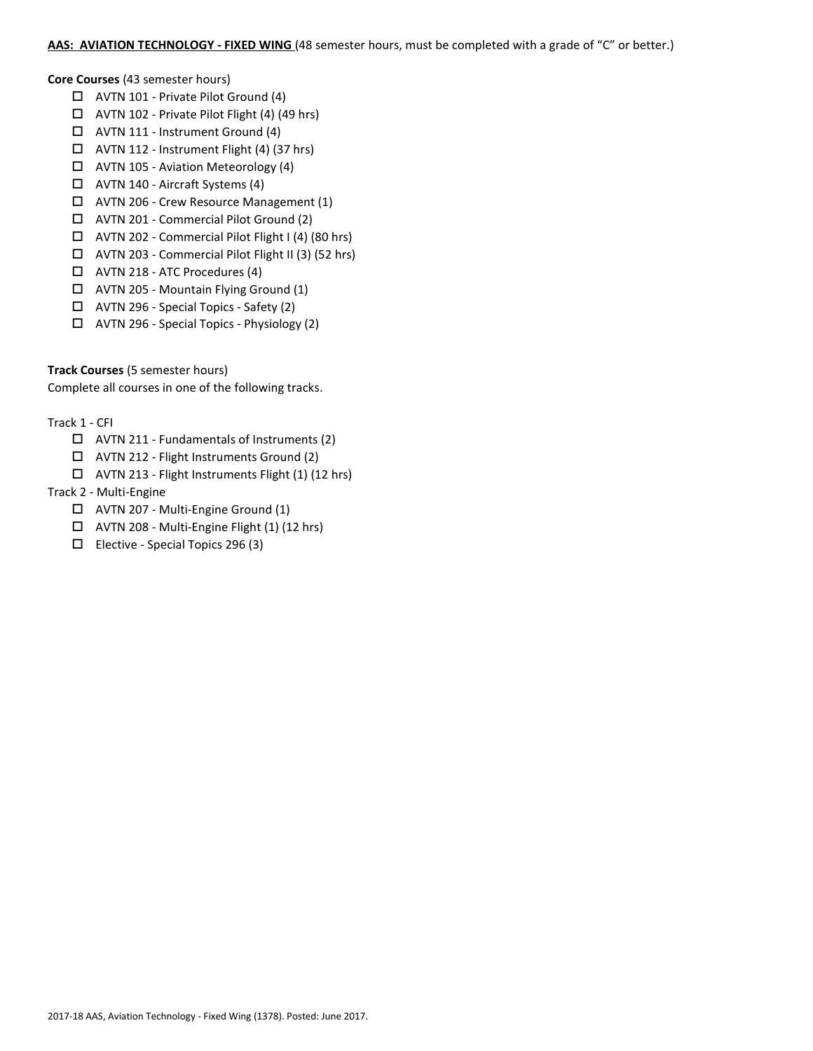**Core Courses** (43 semester hours)

- AVTN 101 Private Pilot Ground (4)
- $\Box$  AVTN 102 Private Pilot Flight (4) (49 hrs)
- AVTN 111 Instrument Ground (4)
- $\Box$  AVTN 112 Instrument Flight (4) (37 hrs)
- AVTN 105 Aviation Meteorology (4)
- AVTN 140 Aircraft Systems (4)
- AVTN 206 Crew Resource Management (1)
- AVTN 201 Commercial Pilot Ground (2)
- AVTN 202 Commercial Pilot Flight I (4) (80 hrs)
- AVTN 203 Commercial Pilot Flight II (3) (52 hrs)
- AVTN 218 ATC Procedures (4)
- AVTN 205 Mountain Flying Ground (1)
- AVTN 296 Special Topics Safety (2)
- AVTN 296 Special Topics Physiology (2)

**Track Courses** (5 semester hours)

Complete all courses in one of the following tracks.

Track 1 - CFI

- $\Box$  AVTN 211 Fundamentals of Instruments (2)
- AVTN 212 Flight Instruments Ground (2)
- AVTN 213 Flight Instruments Flight (1) (12 hrs)

Track 2 - Multi-Engine

- AVTN 207 Multi-Engine Ground (1)
- $\Box$  AVTN 208 Multi-Engine Flight (1) (12 hrs)
- Elective Special Topics 296 (3)